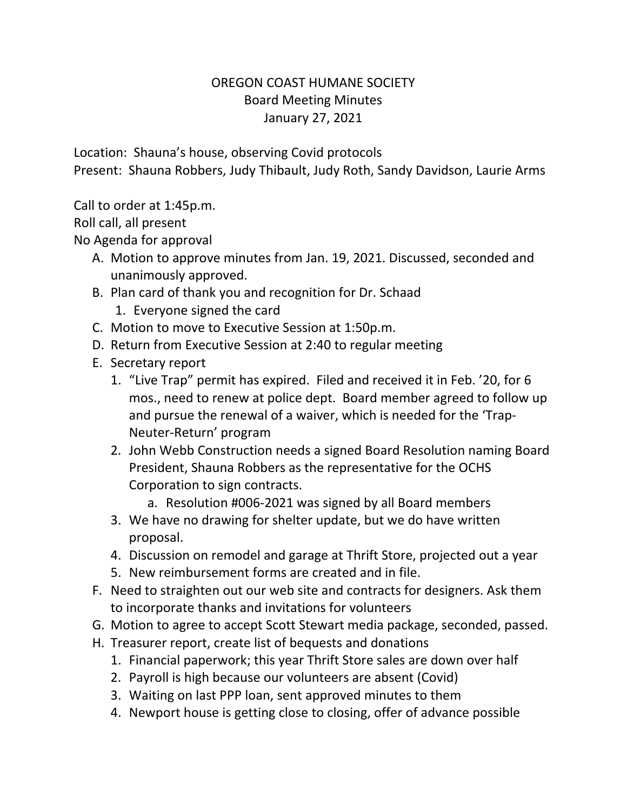## OREGON COAST HUMANE SOCIETY Board Meeting Minutes January 27, 2021

Location: Shauna's house, observing Covid protocols Present: Shauna Robbers, Judy Thibault, Judy Roth, Sandy Davidson, Laurie Arms

Call to order at 1:45p.m.

Roll call, all present

No Agenda for approval

- A. Motion to approve minutes from Jan. 19, 2021. Discussed, seconded and unanimously approved.
- B. Plan card of thank you and recognition for Dr. Schaad
	- 1. Everyone signed the card
- C. Motion to move to Executive Session at 1:50p.m.
- D. Return from Executive Session at 2:40 to regular meeting
- E. Secretary report
	- 1. "Live Trap" permit has expired. Filed and received it in Feb. '20, for 6 mos., need to renew at police dept. Board member agreed to follow up and pursue the renewal of a waiver, which is needed for the 'Trap-Neuter-Return' program
	- 2. John Webb Construction needs a signed Board Resolution naming Board President, Shauna Robbers as the representative for the OCHS Corporation to sign contracts.
		- a. Resolution #006-2021 was signed by all Board members
	- 3. We have no drawing for shelter update, but we do have written proposal.
	- 4. Discussion on remodel and garage at Thrift Store, projected out a year
	- 5. New reimbursement forms are created and in file.
- F. Need to straighten out our web site and contracts for designers. Ask them to incorporate thanks and invitations for volunteers
- G. Motion to agree to accept Scott Stewart media package, seconded, passed.
- H. Treasurer report, create list of bequests and donations
	- 1. Financial paperwork; this year Thrift Store sales are down over half
	- 2. Payroll is high because our volunteers are absent (Covid)
	- 3. Waiting on last PPP loan, sent approved minutes to them
	- 4. Newport house is getting close to closing, offer of advance possible